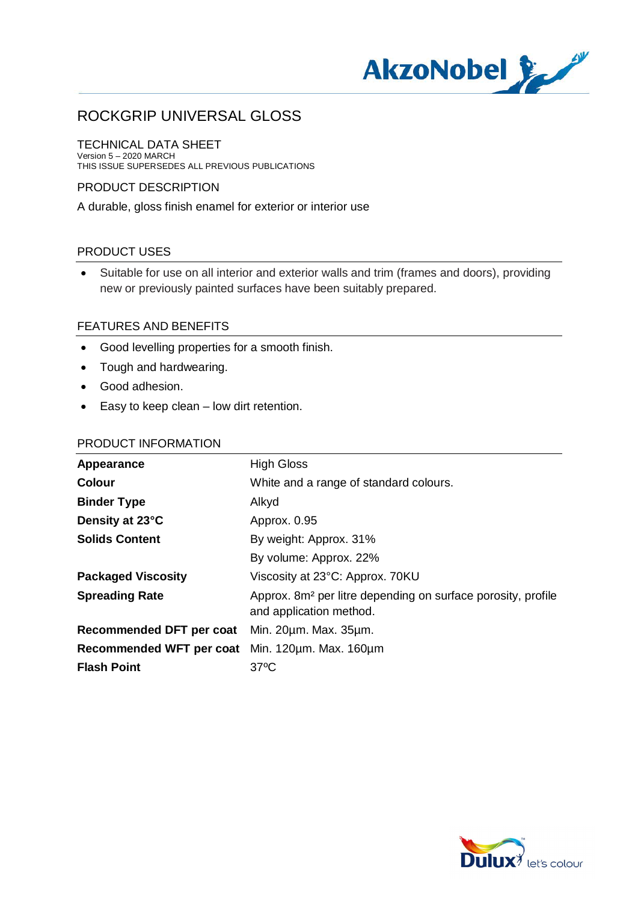

TECHNICAL DATA SHEET Version 5 – 2020 MARCH THIS ISSUE SUPERSEDES ALL PREVIOUS PUBLICATIONS

## PRODUCT DESCRIPTION

A durable, gloss finish enamel for exterior or interior use

### PRODUCT USES

· Suitable for use on all interior and exterior walls and trim (frames and doors), providing new or previously painted surfaces have been suitably prepared.

### FEATURES AND BENEFITS

- · Good levelling properties for a smooth finish.
- · Tough and hardwearing.
- · Good adhesion.
- · Easy to keep clean low dirt retention.

#### PRODUCT INFORMATION

| <b>Appearance</b>               | <b>High Gloss</b>                                                                                   |
|---------------------------------|-----------------------------------------------------------------------------------------------------|
| <b>Colour</b>                   | White and a range of standard colours.                                                              |
| <b>Binder Type</b>              | Alkyd                                                                                               |
| Density at 23°C                 | Approx. 0.95                                                                                        |
| <b>Solids Content</b>           | By weight: Approx. 31%                                                                              |
|                                 | By volume: Approx. 22%                                                                              |
| <b>Packaged Viscosity</b>       | Viscosity at 23°C: Approx. 70KU                                                                     |
| <b>Spreading Rate</b>           | Approx. 8m <sup>2</sup> per litre depending on surface porosity, profile<br>and application method. |
| <b>Recommended DFT per coat</b> | Min. 20um. Max. 35um.                                                                               |
| Recommended WFT per coat        | Min. 120um. Max. 160um                                                                              |
| <b>Flash Point</b>              | $37^{\circ}$ C                                                                                      |
|                                 |                                                                                                     |

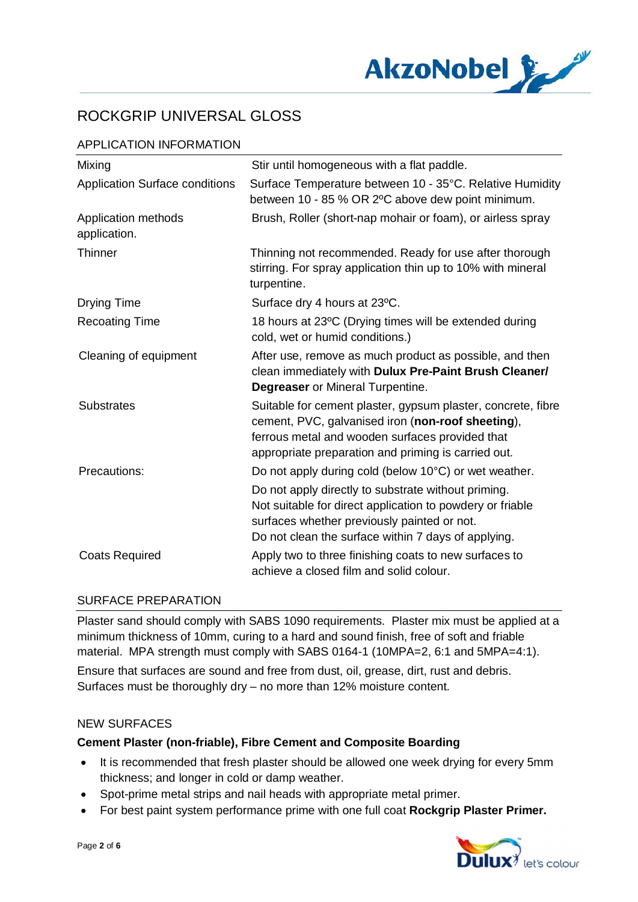

# APPLICATION INFORMATION

| Mixing                                | Stir until homogeneous with a flat paddle.                                                                                                                                                                                  |
|---------------------------------------|-----------------------------------------------------------------------------------------------------------------------------------------------------------------------------------------------------------------------------|
| <b>Application Surface conditions</b> | Surface Temperature between 10 - 35°C. Relative Humidity<br>between 10 - 85 % OR 2°C above dew point minimum.                                                                                                               |
| Application methods<br>application.   | Brush, Roller (short-nap mohair or foam), or airless spray                                                                                                                                                                  |
| <b>Thinner</b>                        | Thinning not recommended. Ready for use after thorough<br>stirring. For spray application thin up to 10% with mineral<br>turpentine.                                                                                        |
| <b>Drying Time</b>                    | Surface dry 4 hours at 23°C.                                                                                                                                                                                                |
| <b>Recoating Time</b>                 | 18 hours at 23°C (Drying times will be extended during<br>cold, wet or humid conditions.)                                                                                                                                   |
| Cleaning of equipment                 | After use, remove as much product as possible, and then<br>clean immediately with Dulux Pre-Paint Brush Cleaner/<br><b>Degreaser</b> or Mineral Turpentine.                                                                 |
| <b>Substrates</b>                     | Suitable for cement plaster, gypsum plaster, concrete, fibre<br>cement, PVC, galvanised iron (non-roof sheeting),<br>ferrous metal and wooden surfaces provided that<br>appropriate preparation and priming is carried out. |
| Precautions:                          | Do not apply during cold (below 10°C) or wet weather.                                                                                                                                                                       |
|                                       | Do not apply directly to substrate without priming.<br>Not suitable for direct application to powdery or friable<br>surfaces whether previously painted or not.<br>Do not clean the surface within 7 days of applying.      |
| <b>Coats Required</b>                 | Apply two to three finishing coats to new surfaces to<br>achieve a closed film and solid colour.                                                                                                                            |

### SURFACE PREPARATION

Plaster sand should comply with SABS 1090 requirements. Plaster mix must be applied at a minimum thickness of 10mm, curing to a hard and sound finish, free of soft and friable material. MPA strength must comply with SABS 0164-1 (10MPA=2, 6:1 and 5MPA=4:1). Ensure that surfaces are sound and free from dust, oil, grease, dirt, rust and debris. Surfaces must be thoroughly dry – no more than 12% moisture content.

### NEW SURFACES

### **Cement Plaster (non-friable), Fibre Cement and Composite Boarding**

- · It is recommended that fresh plaster should be allowed one week drying for every 5mm thickness; and longer in cold or damp weather.
- · Spot-prime metal strips and nail heads with appropriate metal primer.
- · For best paint system performance prime with one full coat **Rockgrip Plaster Primer.**

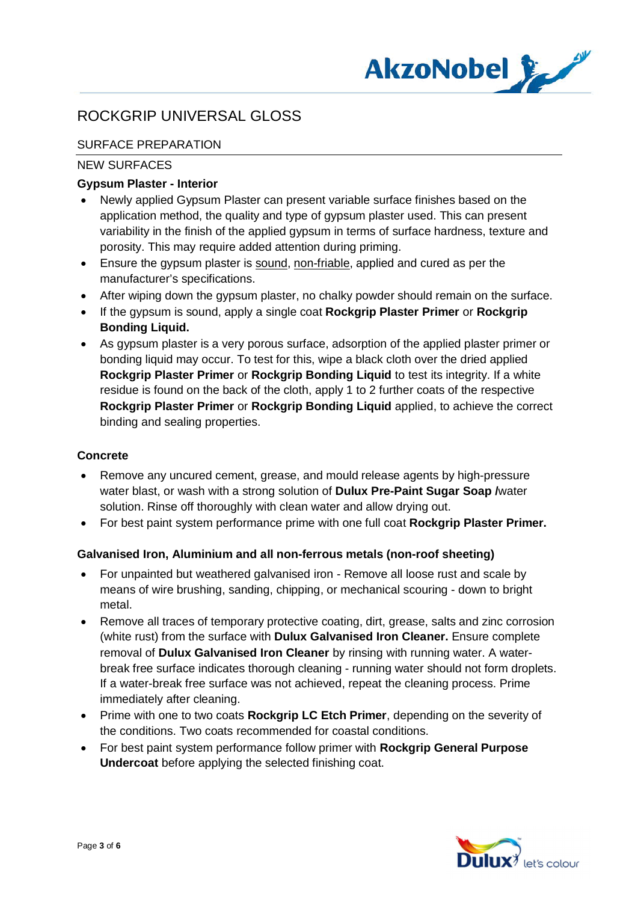

# SURFACE PREPARATION

# NEW SURFACES

# **Gypsum Plaster - Interior**

- · Newly applied Gypsum Plaster can present variable surface finishes based on the application method, the quality and type of gypsum plaster used. This can present variability in the finish of the applied gypsum in terms of surface hardness, texture and porosity. This may require added attention during priming.
- Ensure the gypsum plaster is sound, non-friable, applied and cured as per the manufacturer's specifications.
- After wiping down the gypsum plaster, no chalky powder should remain on the surface.
- · If the gypsum is sound, apply a single coat **Rockgrip Plaster Primer** or **Rockgrip Bonding Liquid.**
- · As gypsum plaster is a very porous surface, adsorption of the applied plaster primer or bonding liquid may occur. To test for this, wipe a black cloth over the dried applied **Rockgrip Plaster Primer** or **Rockgrip Bonding Liquid** to test its integrity. If a white residue is found on the back of the cloth, apply 1 to 2 further coats of the respective **Rockgrip Plaster Primer** or **Rockgrip Bonding Liquid** applied, to achieve the correct binding and sealing properties.

### **Concrete**

- · Remove any uncured cement, grease, and mould release agents by high-pressure water blast, or wash with a strong solution of **Dulux Pre-Paint Sugar Soap /**water solution. Rinse off thoroughly with clean water and allow drying out.
- · For best paint system performance prime with one full coat **Rockgrip Plaster Primer.**

### **Galvanised Iron, Aluminium and all non-ferrous metals (non-roof sheeting)**

- · For unpainted but weathered galvanised iron Remove all loose rust and scale by means of wire brushing, sanding, chipping, or mechanical scouring - down to bright metal.
- · Remove all traces of temporary protective coating, dirt, grease, salts and zinc corrosion (white rust) from the surface with **Dulux Galvanised Iron Cleaner.** Ensure complete removal of **Dulux Galvanised Iron Cleaner** by rinsing with running water. A waterbreak free surface indicates thorough cleaning - running water should not form droplets. If a water-break free surface was not achieved, repeat the cleaning process. Prime immediately after cleaning.
- · Prime with one to two coats **Rockgrip LC Etch Primer**, depending on the severity of the conditions. Two coats recommended for coastal conditions.
- · For best paint system performance follow primer with **Rockgrip General Purpose Undercoat** before applying the selected finishing coat.

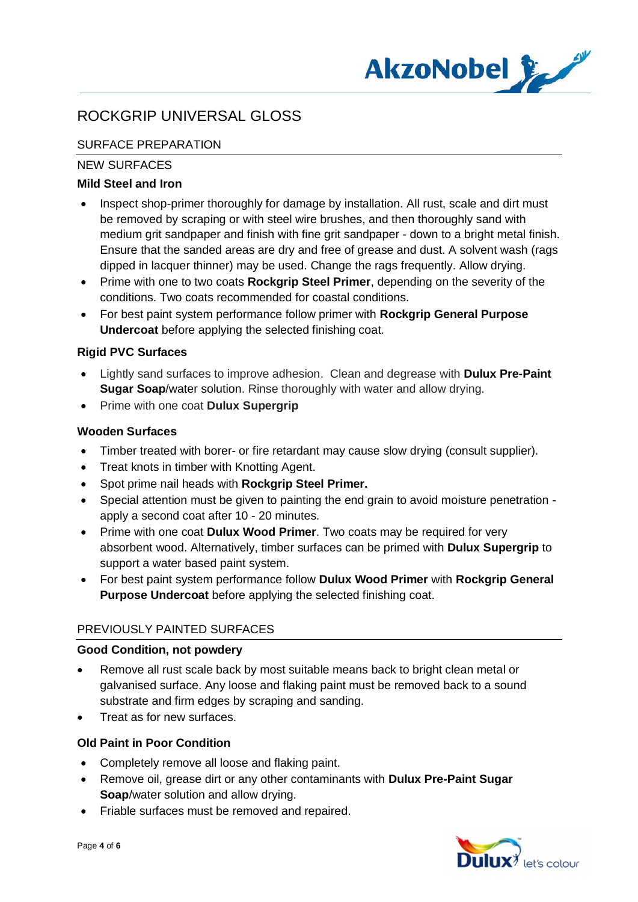

# SURFACE PREPARATION

# NEW SURFACES

# **Mild Steel and Iron**

- · Inspect shop-primer thoroughly for damage by installation. All rust, scale and dirt must be removed by scraping or with steel wire brushes, and then thoroughly sand with medium grit sandpaper and finish with fine grit sandpaper - down to a bright metal finish. Ensure that the sanded areas are dry and free of grease and dust. A solvent wash (rags dipped in lacquer thinner) may be used. Change the rags frequently. Allow drying.
- · Prime with one to two coats **Rockgrip Steel Primer**, depending on the severity of the conditions. Two coats recommended for coastal conditions.
- · For best paint system performance follow primer with **Rockgrip General Purpose Undercoat** before applying the selected finishing coat.

# **Rigid PVC Surfaces**

- · Lightly sand surfaces to improve adhesion. Clean and degrease with **Dulux Pre-Paint Sugar Soap**/water solution. Rinse thoroughly with water and allow drying.
- · Prime with one coat **Dulux Supergrip**

### **Wooden Surfaces**

- · Timber treated with borer- or fire retardant may cause slow drying (consult supplier).
- · Treat knots in timber with Knotting Agent.
- · Spot prime nail heads with **Rockgrip Steel Primer.**
- · Special attention must be given to painting the end grain to avoid moisture penetration apply a second coat after 10 - 20 minutes.
- · Prime with one coat **Dulux Wood Primer**. Two coats may be required for very absorbent wood. Alternatively, timber surfaces can be primed with **Dulux Supergrip** to support a water based paint system.
- · For best paint system performance follow **Dulux Wood Primer** with **Rockgrip General Purpose Undercoat** before applying the selected finishing coat.

# PREVIOUSLY PAINTED SURFACES

### **Good Condition, not powdery**

- Remove all rust scale back by most suitable means back to bright clean metal or galvanised surface. Any loose and flaking paint must be removed back to a sound substrate and firm edges by scraping and sanding.
- · Treat as for new surfaces.

### **Old Paint in Poor Condition**

- · Completely remove all loose and flaking paint.
- · Remove oil, grease dirt or any other contaminants with **Dulux Pre-Paint Sugar Soap**/water solution and allow drying.
- · Friable surfaces must be removed and repaired.

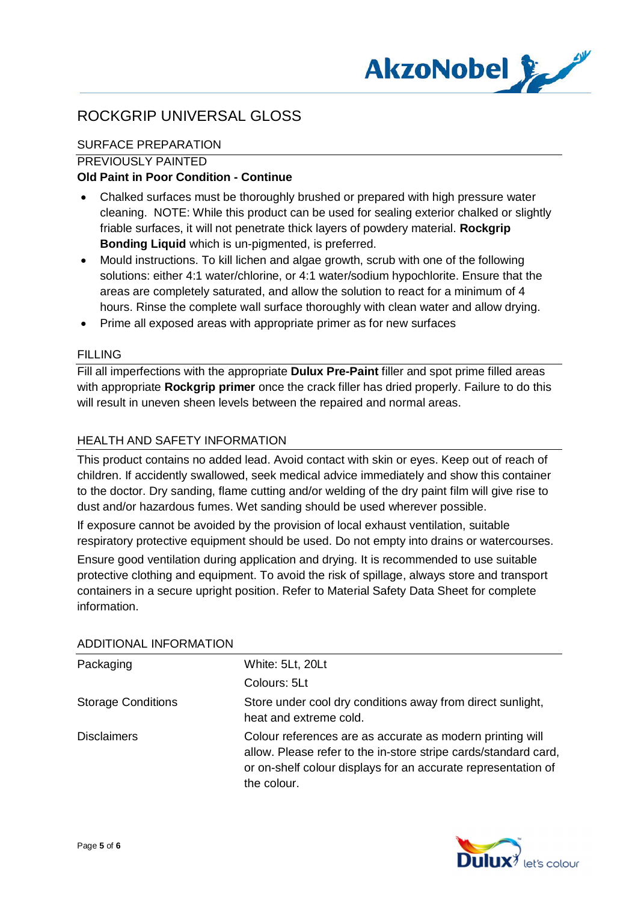

# SURFACE PREPARATION

### PREVIOUSLY PAINTED

# **Old Paint in Poor Condition - Continue**

- · Chalked surfaces must be thoroughly brushed or prepared with high pressure water cleaning. NOTE: While this product can be used for sealing exterior chalked or slightly friable surfaces, it will not penetrate thick layers of powdery material. **Rockgrip Bonding Liquid** which is un-pigmented, is preferred.
- · Mould instructions. To kill lichen and algae growth, scrub with one of the following solutions: either 4:1 water/chlorine, or 4:1 water/sodium hypochlorite. Ensure that the areas are completely saturated, and allow the solution to react for a minimum of 4 hours. Rinse the complete wall surface thoroughly with clean water and allow drying.
- · Prime all exposed areas with appropriate primer as for new surfaces

#### FILLING

Fill all imperfections with the appropriate **Dulux Pre-Paint** filler and spot prime filled areas with appropriate **Rockgrip primer** once the crack filler has dried properly. Failure to do this will result in uneven sheen levels between the repaired and normal areas.

#### HEALTH AND SAFETY INFORMATION

This product contains no added lead. Avoid contact with skin or eyes. Keep out of reach of children. If accidently swallowed, seek medical advice immediately and show this container to the doctor. Dry sanding, flame cutting and/or welding of the dry paint film will give rise to dust and/or hazardous fumes. Wet sanding should be used wherever possible.

If exposure cannot be avoided by the provision of local exhaust ventilation, suitable respiratory protective equipment should be used. Do not empty into drains or watercourses.

Ensure good ventilation during application and drying. It is recommended to use suitable protective clothing and equipment. To avoid the risk of spillage, always store and transport containers in a secure upright position. Refer to Material Safety Data Sheet for complete information.

| Packaging                 | White: 5Lt, 20Lt                                                                                                                                                                                             |
|---------------------------|--------------------------------------------------------------------------------------------------------------------------------------------------------------------------------------------------------------|
|                           | Colours: 5Lt                                                                                                                                                                                                 |
| <b>Storage Conditions</b> | Store under cool dry conditions away from direct sunlight,<br>heat and extreme cold.                                                                                                                         |
| <b>Disclaimers</b>        | Colour references are as accurate as modern printing will<br>allow. Please refer to the in-store stripe cards/standard card,<br>or on-shelf colour displays for an accurate representation of<br>the colour. |

#### ADDITIONAL INFORMATION